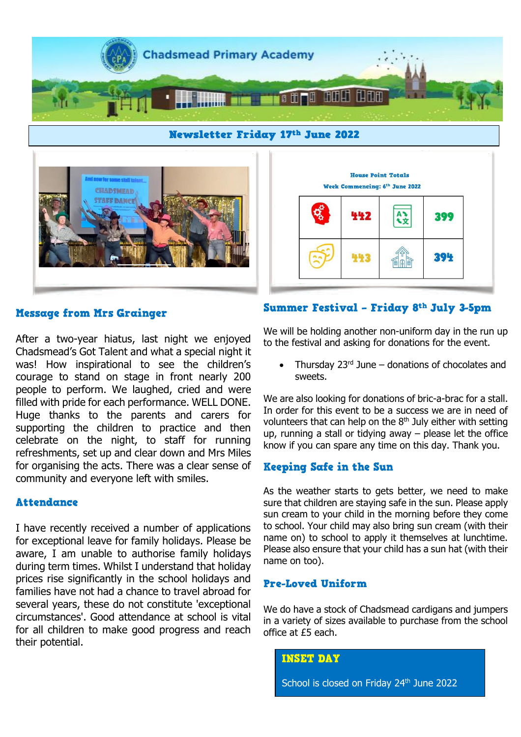

**Newsletter Friday 17th June 2022** 



**House Point Totals** Week Commencing: 6th June 2022 Ary 442 399 394 443

## **Message from Mrs Grainger**

After a two-year hiatus, last night we enjoyed Chadsmead's Got Talent and what a special night it was! How inspirational to see the children's courage to stand on stage in front nearly 200 people to perform. We laughed, cried and were filled with pride for each performance. WELL DONE. Huge thanks to the parents and carers for supporting the children to practice and then celebrate on the night, to staff for running refreshments, set up and clear down and Mrs Miles for organising the acts. There was a clear sense of community and everyone left with smiles.

#### **Attendance**

I have recently received a number of applications for exceptional leave for family holidays. Please be aware, I am unable to authorise family holidays during term times. Whilst I understand that holiday prices rise significantly in the school holidays and families have not had a chance to travel abroad for several years, these do not constitute 'exceptional circumstances'. Good attendance at school is vital for all children to make good progress and reach their potential.

## Summer Festival - Friday 8th July 3-5pm

We will be holding another non-uniform day in the run up to the festival and asking for donations for the event.

• Thursday  $23<sup>rd</sup>$  June – donations of chocolates and sweets.

We are also looking for donations of bric-a-brac for a stall. In order for this event to be a success we are in need of volunteers that can help on the  $8<sup>th</sup>$  July either with setting up, running a stall or tidying away – please let the office know if you can spare any time on this day. Thank you.

### Keeping Safe in the Sun

As the weather starts to gets better, we need to make sure that children are staying safe in the sun. Please apply sun cream to your child in the morning before they come to school. Your child may also bring sun cream (with their name on) to school to apply it themselves at lunchtime. Please also ensure that your child has a sun hat (with their name on too).

#### **Pre-Loved Uniform**

We do have a stock of Chadsmead cardigans and jumpers in a variety of sizes available to purchase from the school office at £5 each.

#### **INSET DAY**

School is closed on Friday 24<sup>th</sup> June 2022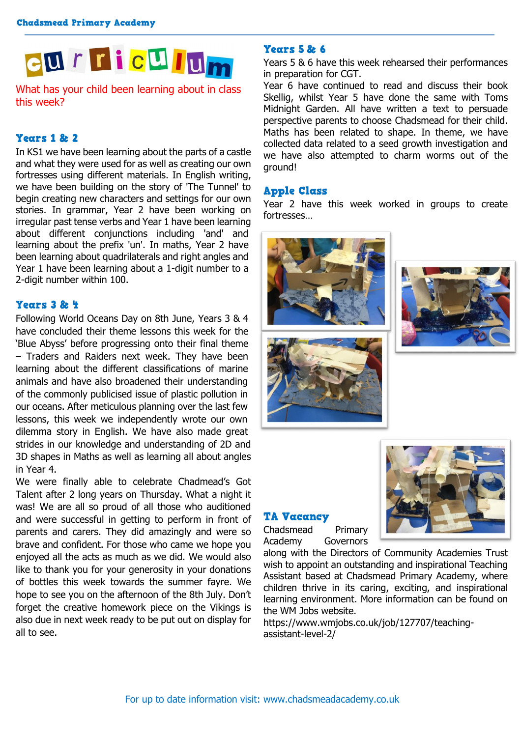

What has your child been learning about in class this week?

## **Years 1 & 2**

In KS1 we have been learning about the parts of a castle and what they were used for as well as creating our own fortresses using different materials. In English writing, we have been building on the story of 'The Tunnel' to begin creating new characters and settings for our own stories. In grammar, Year 2 have been working on irregular past tense verbs and Year 1 have been learning about different conjunctions including 'and' and learning about the prefix 'un'. In maths, Year 2 have been learning about quadrilaterals and right angles and Year 1 have been learning about a 1-digit number to a 2-digit number within 100.

## Years 3 & 4

Following World Oceans Day on 8th June, Years 3 & 4 have concluded their theme lessons this week for the 'Blue Abyss' before progressing onto their final theme – Traders and Raiders next week. They have been learning about the different classifications of marine animals and have also broadened their understanding of the commonly publicised issue of plastic pollution in our oceans. After meticulous planning over the last few lessons, this week we independently wrote our own dilemma story in English. We have also made great strides in our knowledge and understanding of 2D and 3D shapes in Maths as well as learning all about angles in Year 4.

We were finally able to celebrate Chadmead's Got Talent after 2 long years on Thursday. What a night it was! We are all so proud of all those who auditioned and were successful in getting to perform in front of parents and carers. They did amazingly and were so brave and confident. For those who came we hope you enjoyed all the acts as much as we did. We would also like to thank you for your generosity in your donations of bottles this week towards the summer fayre. We hope to see you on the afternoon of the 8th July. Don't forget the creative homework piece on the Vikings is also due in next week ready to be put out on display for all to see.

## **Years 5 & 6**

Years 5 & 6 have this week rehearsed their performances in preparation for CGT.

Year 6 have continued to read and discuss their book Skellig, whilst Year 5 have done the same with Toms Midnight Garden. All have written a text to persuade perspective parents to choose Chadsmead for their child. Maths has been related to shape. In theme, we have collected data related to a seed growth investigation and we have also attempted to charm worms out of the ground!

#### **Apple Class**

Year 2 have this week worked in groups to create fortresses…









#### **TA Vacancy**

Chadsmead Primary Academy Governors



along with the Directors of Community Academies Trust wish to appoint an outstanding and inspirational Teaching Assistant based at Chadsmead Primary Academy, where children thrive in its caring, exciting, and inspirational learning environment. More information can be found on the WM Jobs website.

https://www.wmjobs.co.uk/job/127707/teachingassistant-level-2/